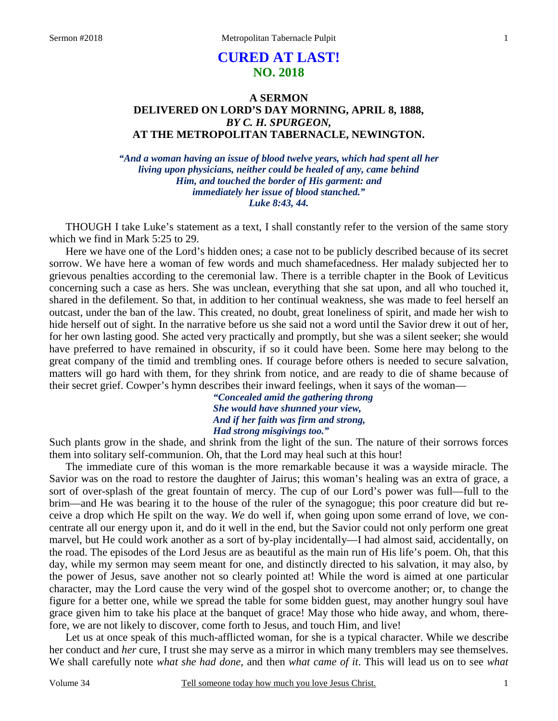# **CURED AT LAST! NO. 2018**

# **A SERMON DELIVERED ON LORD'S DAY MORNING, APRIL 8, 1888,**  *BY C. H. SPURGEON,*  **AT THE METROPOLITAN TABERNACLE, NEWINGTON.**

*"And a woman having an issue of blood twelve years, which had spent all her living upon physicians, neither could be healed of any, came behind Him, and touched the border of His garment: and immediately her issue of blood stanched." Luke 8:43, 44.* 

THOUGH I take Luke's statement as a text, I shall constantly refer to the version of the same story which we find in Mark 5:25 to 29.

Here we have one of the Lord's hidden ones; a case not to be publicly described because of its secret sorrow. We have here a woman of few words and much shamefacedness. Her malady subjected her to grievous penalties according to the ceremonial law. There is a terrible chapter in the Book of Leviticus concerning such a case as hers. She was unclean, everything that she sat upon, and all who touched it, shared in the defilement. So that, in addition to her continual weakness, she was made to feel herself an outcast, under the ban of the law. This created, no doubt, great loneliness of spirit, and made her wish to hide herself out of sight. In the narrative before us she said not a word until the Savior drew it out of her, for her own lasting good. She acted very practically and promptly, but she was a silent seeker; she would have preferred to have remained in obscurity, if so it could have been. Some here may belong to the great company of the timid and trembling ones. If courage before others is needed to secure salvation, matters will go hard with them, for they shrink from notice, and are ready to die of shame because of their secret grief. Cowper's hymn describes their inward feelings, when it says of the woman—

*"Concealed amid the gathering throng She would have shunned your view, And if her faith was firm and strong, Had strong misgivings too."* 

Such plants grow in the shade, and shrink from the light of the sun. The nature of their sorrows forces them into solitary self-communion. Oh, that the Lord may heal such at this hour!

The immediate cure of this woman is the more remarkable because it was a wayside miracle. The Savior was on the road to restore the daughter of Jairus; this woman's healing was an extra of grace, a sort of over-splash of the great fountain of mercy. The cup of our Lord's power was full—full to the brim—and He was bearing it to the house of the ruler of the synagogue; this poor creature did but receive a drop which He spilt on the way. *We* do well if, when going upon some errand of love, we concentrate all our energy upon it, and do it well in the end, but the Savior could not only perform one great marvel, but He could work another as a sort of by-play incidentally—I had almost said, accidentally, on the road. The episodes of the Lord Jesus are as beautiful as the main run of His life's poem. Oh, that this day, while my sermon may seem meant for one, and distinctly directed to his salvation, it may also, by the power of Jesus, save another not so clearly pointed at! While the word is aimed at one particular character, may the Lord cause the very wind of the gospel shot to overcome another; or, to change the figure for a better one, while we spread the table for some bidden guest, may another hungry soul have grace given him to take his place at the banquet of grace! May those who hide away, and whom, therefore, we are not likely to discover, come forth to Jesus, and touch Him, and live!

Let us at once speak of this much-afflicted woman, for she is a typical character. While we describe her conduct and *her* cure, I trust she may serve as a mirror in which many tremblers may see themselves. We shall carefully note *what she had done,* and then *what came of it*. This will lead us on to see *what*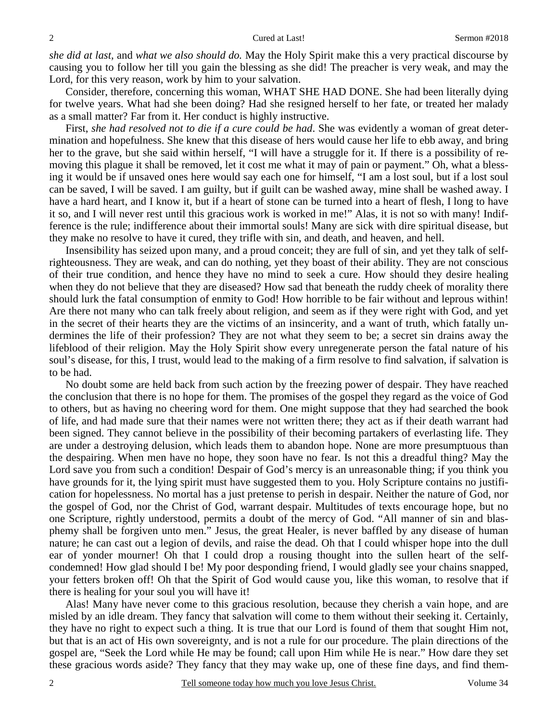*she did at last,* and *what we also should do.* May the Holy Spirit make this a very practical discourse by causing you to follow her till you gain the blessing as she did! The preacher is very weak, and may the Lord, for this very reason, work by him to your salvation.

Consider, therefore, concerning this woman, WHAT SHE HAD DONE. She had been literally dying for twelve years. What had she been doing? Had she resigned herself to her fate, or treated her malady as a small matter? Far from it. Her conduct is highly instructive.

First, *she had resolved not to die if a cure could be had*. She was evidently a woman of great determination and hopefulness. She knew that this disease of hers would cause her life to ebb away, and bring her to the grave, but she said within herself, "I will have a struggle for it. If there is a possibility of removing this plague it shall be removed, let it cost me what it may of pain or payment." Oh, what a blessing it would be if unsaved ones here would say each one for himself, "I am a lost soul, but if a lost soul can be saved, I will be saved. I am guilty, but if guilt can be washed away, mine shall be washed away. I have a hard heart, and I know it, but if a heart of stone can be turned into a heart of flesh, I long to have it so, and I will never rest until this gracious work is worked in me!" Alas, it is not so with many! Indifference is the rule; indifference about their immortal souls! Many are sick with dire spiritual disease, but they make no resolve to have it cured, they trifle with sin, and death, and heaven, and hell.

Insensibility has seized upon many, and a proud conceit; they are full of sin, and yet they talk of selfrighteousness. They are weak, and can do nothing, yet they boast of their ability. They are not conscious of their true condition, and hence they have no mind to seek a cure. How should they desire healing when they do not believe that they are diseased? How sad that beneath the ruddy cheek of morality there should lurk the fatal consumption of enmity to God! How horrible to be fair without and leprous within! Are there not many who can talk freely about religion, and seem as if they were right with God, and yet in the secret of their hearts they are the victims of an insincerity, and a want of truth, which fatally undermines the life of their profession? They are not what they seem to be; a secret sin drains away the lifeblood of their religion. May the Holy Spirit show every unregenerate person the fatal nature of his soul's disease, for this, I trust, would lead to the making of a firm resolve to find salvation, if salvation is to be had.

No doubt some are held back from such action by the freezing power of despair. They have reached the conclusion that there is no hope for them. The promises of the gospel they regard as the voice of God to others, but as having no cheering word for them. One might suppose that they had searched the book of life, and had made sure that their names were not written there; they act as if their death warrant had been signed. They cannot believe in the possibility of their becoming partakers of everlasting life. They are under a destroying delusion, which leads them to abandon hope. None are more presumptuous than the despairing. When men have no hope, they soon have no fear. Is not this a dreadful thing? May the Lord save you from such a condition! Despair of God's mercy is an unreasonable thing; if you think you have grounds for it, the lying spirit must have suggested them to you. Holy Scripture contains no justification for hopelessness. No mortal has a just pretense to perish in despair. Neither the nature of God, nor the gospel of God, nor the Christ of God, warrant despair. Multitudes of texts encourage hope, but no one Scripture, rightly understood, permits a doubt of the mercy of God. "All manner of sin and blasphemy shall be forgiven unto men." Jesus, the great Healer, is never baffled by any disease of human nature; he can cast out a legion of devils, and raise the dead. Oh that I could whisper hope into the dull ear of yonder mourner! Oh that I could drop a rousing thought into the sullen heart of the selfcondemned! How glad should I be! My poor desponding friend, I would gladly see your chains snapped, your fetters broken off! Oh that the Spirit of God would cause you, like this woman, to resolve that if there is healing for your soul you will have it!

Alas! Many have never come to this gracious resolution, because they cherish a vain hope, and are misled by an idle dream. They fancy that salvation will come to them without their seeking it. Certainly, they have no right to expect such a thing. It is true that our Lord is found of them that sought Him not, but that is an act of His own sovereignty, and is not a rule for our procedure. The plain directions of the gospel are, "Seek the Lord while He may be found; call upon Him while He is near." How dare they set these gracious words aside? They fancy that they may wake up, one of these fine days, and find them-

2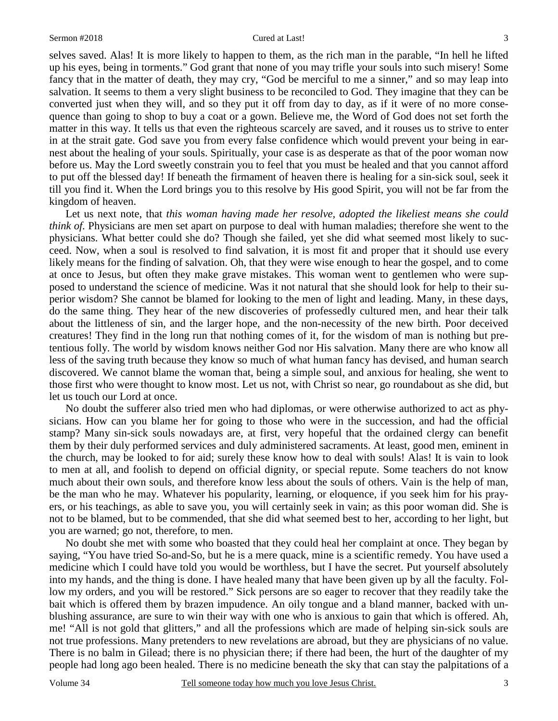selves saved. Alas! It is more likely to happen to them, as the rich man in the parable, "In hell he lifted up his eyes, being in torments." God grant that none of you may trifle your souls into such misery! Some fancy that in the matter of death, they may cry, "God be merciful to me a sinner," and so may leap into salvation. It seems to them a very slight business to be reconciled to God. They imagine that they can be converted just when they will, and so they put it off from day to day, as if it were of no more consequence than going to shop to buy a coat or a gown. Believe me, the Word of God does not set forth the matter in this way. It tells us that even the righteous scarcely are saved, and it rouses us to strive to enter in at the strait gate. God save you from every false confidence which would prevent your being in earnest about the healing of your souls. Spiritually, your case is as desperate as that of the poor woman now before us. May the Lord sweetly constrain you to feel that you must be healed and that you cannot afford to put off the blessed day! If beneath the firmament of heaven there is healing for a sin-sick soul, seek it till you find it. When the Lord brings you to this resolve by His good Spirit, you will not be far from the kingdom of heaven.

Let us next note, that *this woman having made her resolve, adopted the likeliest means she could think of.* Physicians are men set apart on purpose to deal with human maladies; therefore she went to the physicians. What better could she do? Though she failed, yet she did what seemed most likely to succeed. Now, when a soul is resolved to find salvation, it is most fit and proper that it should use every likely means for the finding of salvation. Oh, that they were wise enough to hear the gospel, and to come at once to Jesus, but often they make grave mistakes. This woman went to gentlemen who were supposed to understand the science of medicine. Was it not natural that she should look for help to their superior wisdom? She cannot be blamed for looking to the men of light and leading. Many, in these days, do the same thing. They hear of the new discoveries of professedly cultured men, and hear their talk about the littleness of sin, and the larger hope, and the non-necessity of the new birth. Poor deceived creatures! They find in the long run that nothing comes of it, for the wisdom of man is nothing but pretentious folly. The world by wisdom knows neither God nor His salvation. Many there are who know all less of the saving truth because they know so much of what human fancy has devised, and human search discovered. We cannot blame the woman that, being a simple soul, and anxious for healing, she went to those first who were thought to know most. Let us not, with Christ so near, go roundabout as she did, but let us touch our Lord at once.

No doubt the sufferer also tried men who had diplomas, or were otherwise authorized to act as physicians. How can you blame her for going to those who were in the succession, and had the official stamp? Many sin-sick souls nowadays are, at first, very hopeful that the ordained clergy can benefit them by their duly performed services and duly administered sacraments. At least, good men, eminent in the church, may be looked to for aid; surely these know how to deal with souls! Alas! It is vain to look to men at all, and foolish to depend on official dignity, or special repute. Some teachers do not know much about their own souls, and therefore know less about the souls of others. Vain is the help of man, be the man who he may. Whatever his popularity, learning, or eloquence, if you seek him for his prayers, or his teachings, as able to save you, you will certainly seek in vain; as this poor woman did. She is not to be blamed, but to be commended, that she did what seemed best to her, according to her light, but you are warned; go not, therefore, to men.

No doubt she met with some who boasted that they could heal her complaint at once. They began by saying, "You have tried So-and-So, but he is a mere quack, mine is a scientific remedy. You have used a medicine which I could have told you would be worthless, but I have the secret. Put yourself absolutely into my hands, and the thing is done. I have healed many that have been given up by all the faculty. Follow my orders, and you will be restored." Sick persons are so eager to recover that they readily take the bait which is offered them by brazen impudence. An oily tongue and a bland manner, backed with unblushing assurance, are sure to win their way with one who is anxious to gain that which is offered. Ah, me! "All is not gold that glitters," and all the professions which are made of helping sin-sick souls are not true professions. Many pretenders to new revelations are abroad, but they are physicians of no value. There is no balm in Gilead; there is no physician there; if there had been, the hurt of the daughter of my people had long ago been healed. There is no medicine beneath the sky that can stay the palpitations of a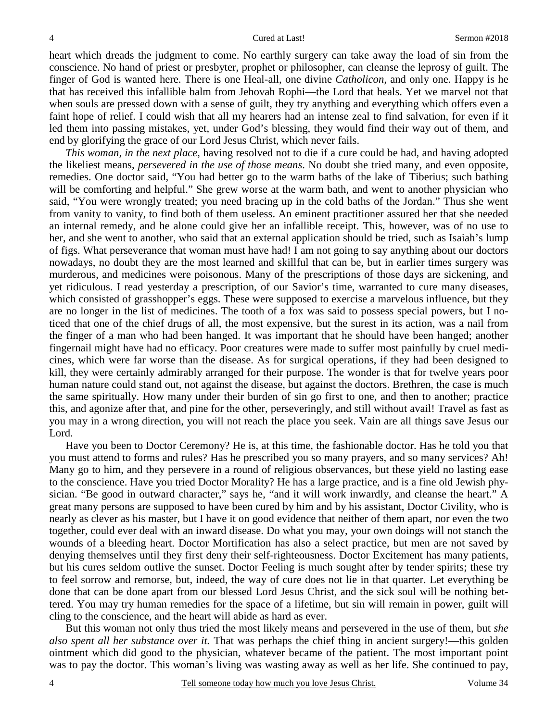heart which dreads the judgment to come. No earthly surgery can take away the load of sin from the conscience. No hand of priest or presbyter, prophet or philosopher, can cleanse the leprosy of guilt. The finger of God is wanted here. There is one Heal-all, one divine *Catholicon,* and only one. Happy is he that has received this infallible balm from Jehovah Rophi—the Lord that heals. Yet we marvel not that when souls are pressed down with a sense of guilt, they try anything and everything which offers even a faint hope of relief. I could wish that all my hearers had an intense zeal to find salvation, for even if it led them into passing mistakes, yet, under God's blessing, they would find their way out of them, and end by glorifying the grace of our Lord Jesus Christ, which never fails.

*This woman, in the next place,* having resolved not to die if a cure could be had, and having adopted the likeliest means, *persevered in the use of those means*. No doubt she tried many, and even opposite, remedies. One doctor said, "You had better go to the warm baths of the lake of Tiberius; such bathing will be comforting and helpful." She grew worse at the warm bath, and went to another physician who said, "You were wrongly treated; you need bracing up in the cold baths of the Jordan." Thus she went from vanity to vanity, to find both of them useless. An eminent practitioner assured her that she needed an internal remedy, and he alone could give her an infallible receipt. This, however, was of no use to her, and she went to another, who said that an external application should be tried, such as Isaiah's lump of figs. What perseverance that woman must have had! I am not going to say anything about our doctors nowadays, no doubt they are the most learned and skillful that can be, but in earlier times surgery was murderous, and medicines were poisonous. Many of the prescriptions of those days are sickening, and yet ridiculous. I read yesterday a prescription, of our Savior's time, warranted to cure many diseases, which consisted of grasshopper's eggs. These were supposed to exercise a marvelous influence, but they are no longer in the list of medicines. The tooth of a fox was said to possess special powers, but I noticed that one of the chief drugs of all, the most expensive, but the surest in its action, was a nail from the finger of a man who had been hanged. It was important that he should have been hanged; another fingernail might have had no efficacy. Poor creatures were made to suffer most painfully by cruel medicines, which were far worse than the disease. As for surgical operations, if they had been designed to kill, they were certainly admirably arranged for their purpose. The wonder is that for twelve years poor human nature could stand out, not against the disease, but against the doctors. Brethren, the case is much the same spiritually. How many under their burden of sin go first to one, and then to another; practice this, and agonize after that, and pine for the other, perseveringly, and still without avail! Travel as fast as you may in a wrong direction, you will not reach the place you seek. Vain are all things save Jesus our Lord.

Have you been to Doctor Ceremony? He is, at this time, the fashionable doctor. Has he told you that you must attend to forms and rules? Has he prescribed you so many prayers, and so many services? Ah! Many go to him, and they persevere in a round of religious observances, but these yield no lasting ease to the conscience. Have you tried Doctor Morality? He has a large practice, and is a fine old Jewish physician. "Be good in outward character," says he, "and it will work inwardly, and cleanse the heart." A great many persons are supposed to have been cured by him and by his assistant, Doctor Civility, who is nearly as clever as his master, but I have it on good evidence that neither of them apart, nor even the two together, could ever deal with an inward disease. Do what you may, your own doings will not stanch the wounds of a bleeding heart. Doctor Mortification has also a select practice, but men are not saved by denying themselves until they first deny their self-righteousness. Doctor Excitement has many patients, but his cures seldom outlive the sunset. Doctor Feeling is much sought after by tender spirits; these try to feel sorrow and remorse, but, indeed, the way of cure does not lie in that quarter. Let everything be done that can be done apart from our blessed Lord Jesus Christ, and the sick soul will be nothing bettered. You may try human remedies for the space of a lifetime, but sin will remain in power, guilt will cling to the conscience, and the heart will abide as hard as ever.

But this woman not only thus tried the most likely means and persevered in the use of them, but *she also spent all her substance over it.* That was perhaps the chief thing in ancient surgery!—this golden ointment which did good to the physician, whatever became of the patient. The most important point was to pay the doctor. This woman's living was wasting away as well as her life. She continued to pay,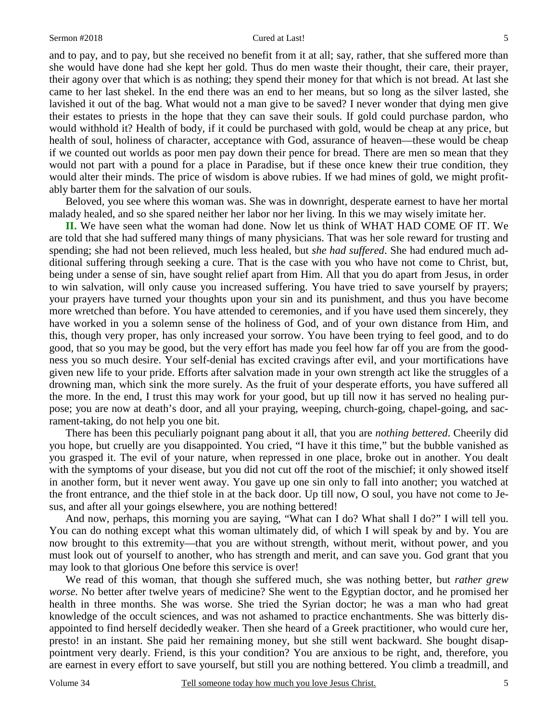and to pay, and to pay, but she received no benefit from it at all; say, rather, that she suffered more than she would have done had she kept her gold. Thus do men waste their thought, their care, their prayer, their agony over that which is as nothing; they spend their money for that which is not bread. At last she came to her last shekel. In the end there was an end to her means, but so long as the silver lasted, she lavished it out of the bag. What would not a man give to be saved? I never wonder that dying men give their estates to priests in the hope that they can save their souls. If gold could purchase pardon, who would withhold it? Health of body, if it could be purchased with gold, would be cheap at any price, but health of soul, holiness of character, acceptance with God, assurance of heaven—these would be cheap if we counted out worlds as poor men pay down their pence for bread. There are men so mean that they would not part with a pound for a place in Paradise, but if these once knew their true condition, they would alter their minds. The price of wisdom is above rubies. If we had mines of gold, we might profitably barter them for the salvation of our souls.

Beloved, you see where this woman was. She was in downright, desperate earnest to have her mortal malady healed, and so she spared neither her labor nor her living. In this we may wisely imitate her.

**II.** We have seen what the woman had done. Now let us think of WHAT HAD COME OF IT. We are told that she had suffered many things of many physicians. That was her sole reward for trusting and spending; she had not been relieved, much less healed, but *she had suffered*. She had endured much additional suffering through seeking a cure. That is the case with you who have not come to Christ, but, being under a sense of sin, have sought relief apart from Him. All that you do apart from Jesus, in order to win salvation, will only cause you increased suffering. You have tried to save yourself by prayers; your prayers have turned your thoughts upon your sin and its punishment, and thus you have become more wretched than before. You have attended to ceremonies, and if you have used them sincerely, they have worked in you a solemn sense of the holiness of God, and of your own distance from Him, and this, though very proper, has only increased your sorrow. You have been trying to feel good, and to do good, that so you may be good, but the very effort has made you feel how far off you are from the goodness you so much desire. Your self-denial has excited cravings after evil, and your mortifications have given new life to your pride. Efforts after salvation made in your own strength act like the struggles of a drowning man, which sink the more surely. As the fruit of your desperate efforts, you have suffered all the more. In the end, I trust this may work for your good, but up till now it has served no healing purpose; you are now at death's door, and all your praying, weeping, church-going, chapel-going, and sacrament-taking, do not help you one bit.

There has been this peculiarly poignant pang about it all, that you are *nothing bettered*. Cheerily did you hope, but cruelly are you disappointed. You cried, "I have it this time," but the bubble vanished as you grasped it. The evil of your nature, when repressed in one place, broke out in another. You dealt with the symptoms of your disease, but you did not cut off the root of the mischief; it only showed itself in another form, but it never went away. You gave up one sin only to fall into another; you watched at the front entrance, and the thief stole in at the back door. Up till now, O soul, you have not come to Jesus, and after all your goings elsewhere, you are nothing bettered!

And now, perhaps, this morning you are saying, "What can I do? What shall I do?" I will tell you. You can do nothing except what this woman ultimately did, of which I will speak by and by. You are now brought to this extremity—that you are without strength, without merit, without power, and you must look out of yourself to another, who has strength and merit, and can save you. God grant that you may look to that glorious One before this service is over!

We read of this woman, that though she suffered much, she was nothing better, but *rather grew worse.* No better after twelve years of medicine? She went to the Egyptian doctor, and he promised her health in three months. She was worse. She tried the Syrian doctor; he was a man who had great knowledge of the occult sciences, and was not ashamed to practice enchantments. She was bitterly disappointed to find herself decidedly weaker. Then she heard of a Greek practitioner, who would cure her, presto! in an instant. She paid her remaining money, but she still went backward. She bought disappointment very dearly. Friend, is this your condition? You are anxious to be right, and, therefore, you are earnest in every effort to save yourself, but still you are nothing bettered. You climb a treadmill, and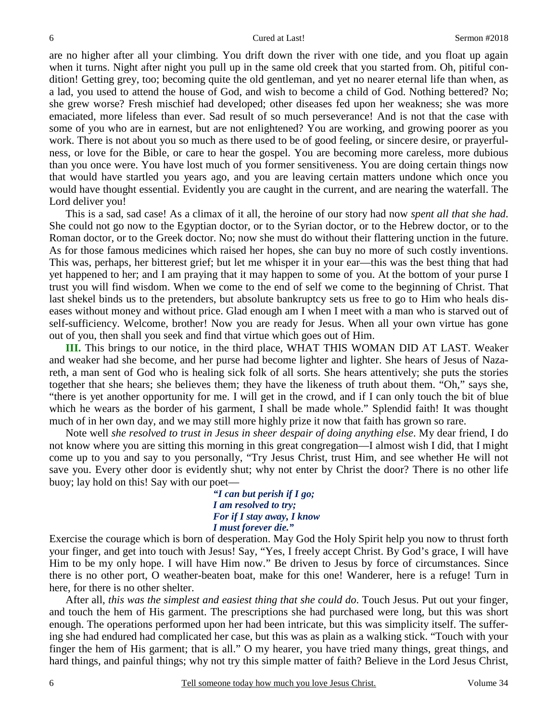are no higher after all your climbing. You drift down the river with one tide, and you float up again when it turns. Night after night you pull up in the same old creek that you started from. Oh, pitiful condition! Getting grey, too; becoming quite the old gentleman, and yet no nearer eternal life than when, as a lad, you used to attend the house of God, and wish to become a child of God. Nothing bettered? No; she grew worse? Fresh mischief had developed; other diseases fed upon her weakness; she was more emaciated, more lifeless than ever. Sad result of so much perseverance! And is not that the case with some of you who are in earnest, but are not enlightened? You are working, and growing poorer as you work. There is not about you so much as there used to be of good feeling, or sincere desire, or prayerfulness, or love for the Bible, or care to hear the gospel. You are becoming more careless, more dubious than you once were. You have lost much of you former sensitiveness. You are doing certain things now that would have startled you years ago, and you are leaving certain matters undone which once you would have thought essential. Evidently you are caught in the current, and are nearing the waterfall. The Lord deliver you!

This is a sad, sad case! As a climax of it all, the heroine of our story had now *spent all that she had*. She could not go now to the Egyptian doctor, or to the Syrian doctor, or to the Hebrew doctor, or to the Roman doctor, or to the Greek doctor. No; now she must do without their flattering unction in the future. As for those famous medicines which raised her hopes, she can buy no more of such costly inventions. This was, perhaps, her bitterest grief; but let me whisper it in your ear—this was the best thing that had yet happened to her; and I am praying that it may happen to some of you. At the bottom of your purse I trust you will find wisdom. When we come to the end of self we come to the beginning of Christ. That last shekel binds us to the pretenders, but absolute bankruptcy sets us free to go to Him who heals diseases without money and without price. Glad enough am I when I meet with a man who is starved out of self-sufficiency. Welcome, brother! Now you are ready for Jesus. When all your own virtue has gone out of you, then shall you seek and find that virtue which goes out of Him.

**III.** This brings to our notice, in the third place, WHAT THIS WOMAN DID AT LAST. Weaker and weaker had she become, and her purse had become lighter and lighter. She hears of Jesus of Nazareth, a man sent of God who is healing sick folk of all sorts. She hears attentively; she puts the stories together that she hears; she believes them; they have the likeness of truth about them. "Oh," says she, "there is yet another opportunity for me. I will get in the crowd, and if I can only touch the bit of blue which he wears as the border of his garment, I shall be made whole." Splendid faith! It was thought much of in her own day, and we may still more highly prize it now that faith has grown so rare.

Note well *she resolved to trust in Jesus in sheer despair of doing anything else*. My dear friend, I do not know where you are sitting this morning in this great congregation—I almost wish I did, that I might come up to you and say to you personally, "Try Jesus Christ, trust Him, and see whether He will not save you. Every other door is evidently shut; why not enter by Christ the door? There is no other life buoy; lay hold on this! Say with our poet—

> *"I can but perish if I go; I am resolved to try; For if I stay away, I know I must forever die."*

Exercise the courage which is born of desperation. May God the Holy Spirit help you now to thrust forth your finger, and get into touch with Jesus! Say, "Yes, I freely accept Christ. By God's grace, I will have Him to be my only hope. I will have Him now." Be driven to Jesus by force of circumstances. Since there is no other port, O weather-beaten boat, make for this one! Wanderer, here is a refuge! Turn in here, for there is no other shelter.

After all, *this was the simplest and easiest thing that she could do*. Touch Jesus. Put out your finger, and touch the hem of His garment. The prescriptions she had purchased were long, but this was short enough. The operations performed upon her had been intricate, but this was simplicity itself. The suffering she had endured had complicated her case, but this was as plain as a walking stick. "Touch with your finger the hem of His garment; that is all." O my hearer, you have tried many things, great things, and hard things, and painful things; why not try this simple matter of faith? Believe in the Lord Jesus Christ,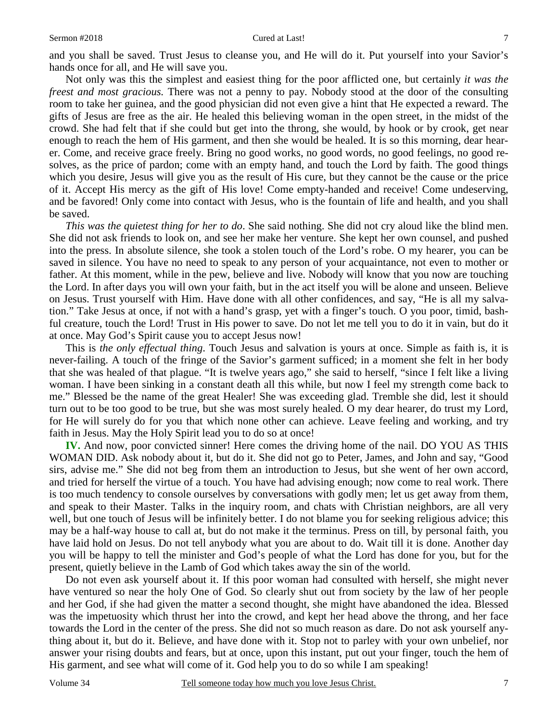and you shall be saved. Trust Jesus to cleanse you, and He will do it. Put yourself into your Savior's hands once for all, and He will save you.

Not only was this the simplest and easiest thing for the poor afflicted one, but certainly *it was the freest and most gracious.* There was not a penny to pay. Nobody stood at the door of the consulting room to take her guinea, and the good physician did not even give a hint that He expected a reward. The gifts of Jesus are free as the air. He healed this believing woman in the open street, in the midst of the crowd. She had felt that if she could but get into the throng, she would, by hook or by crook, get near enough to reach the hem of His garment, and then she would be healed. It is so this morning, dear hearer. Come, and receive grace freely. Bring no good works, no good words, no good feelings, no good resolves, as the price of pardon; come with an empty hand, and touch the Lord by faith. The good things which you desire, Jesus will give you as the result of His cure, but they cannot be the cause or the price of it. Accept His mercy as the gift of His love! Come empty-handed and receive! Come undeserving, and be favored! Only come into contact with Jesus, who is the fountain of life and health, and you shall be saved.

*This was the quietest thing for her to do*. She said nothing. She did not cry aloud like the blind men. She did not ask friends to look on, and see her make her venture. She kept her own counsel, and pushed into the press. In absolute silence, she took a stolen touch of the Lord's robe. O my hearer, you can be saved in silence. You have no need to speak to any person of your acquaintance, not even to mother or father. At this moment, while in the pew, believe and live. Nobody will know that you now are touching the Lord. In after days you will own your faith, but in the act itself you will be alone and unseen. Believe on Jesus. Trust yourself with Him. Have done with all other confidences, and say, "He is all my salvation." Take Jesus at once, if not with a hand's grasp, yet with a finger's touch. O you poor, timid, bashful creature, touch the Lord! Trust in His power to save. Do not let me tell you to do it in vain, but do it at once. May God's Spirit cause you to accept Jesus now!

This is *the only effectual thing*. Touch Jesus and salvation is yours at once. Simple as faith is, it is never-failing. A touch of the fringe of the Savior's garment sufficed; in a moment she felt in her body that she was healed of that plague. "It is twelve years ago," she said to herself, "since I felt like a living woman. I have been sinking in a constant death all this while, but now I feel my strength come back to me." Blessed be the name of the great Healer! She was exceeding glad. Tremble she did, lest it should turn out to be too good to be true, but she was most surely healed. O my dear hearer, do trust my Lord, for He will surely do for you that which none other can achieve. Leave feeling and working, and try faith in Jesus. May the Holy Spirit lead you to do so at once!

**IV.** And now, poor convicted sinner! Here comes the driving home of the nail. DO YOU AS THIS WOMAN DID. Ask nobody about it, but do it. She did not go to Peter, James, and John and say, "Good sirs, advise me." She did not beg from them an introduction to Jesus, but she went of her own accord, and tried for herself the virtue of a touch. You have had advising enough; now come to real work. There is too much tendency to console ourselves by conversations with godly men; let us get away from them, and speak to their Master. Talks in the inquiry room, and chats with Christian neighbors, are all very well, but one touch of Jesus will be infinitely better. I do not blame you for seeking religious advice; this may be a half-way house to call at, but do not make it the terminus. Press on till, by personal faith, you have laid hold on Jesus. Do not tell anybody what you are about to do. Wait till it is done. Another day you will be happy to tell the minister and God's people of what the Lord has done for you, but for the present, quietly believe in the Lamb of God which takes away the sin of the world.

Do not even ask yourself about it. If this poor woman had consulted with herself, she might never have ventured so near the holy One of God. So clearly shut out from society by the law of her people and her God, if she had given the matter a second thought, she might have abandoned the idea. Blessed was the impetuosity which thrust her into the crowd, and kept her head above the throng, and her face towards the Lord in the center of the press. She did not so much reason as dare. Do not ask yourself anything about it, but do it. Believe, and have done with it. Stop not to parley with your own unbelief, nor answer your rising doubts and fears, but at once, upon this instant, put out your finger, touch the hem of His garment, and see what will come of it. God help you to do so while I am speaking!